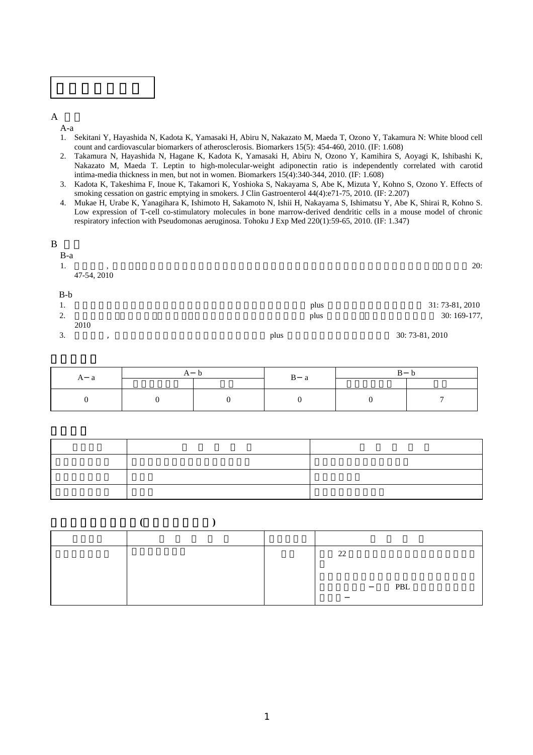

 $\overline{A}$ 

A-a

- 1. Sekitani Y, Hayashida N, Kadota K, Yamasaki H, Abiru N, Nakazato M, Maeda T, Ozono Y, Takamura N: White blood cell count and cardiovascular biomarkers of atherosclerosis. Biomarkers 15(5): 454-460, 2010. (IF: 1.608)
- 2. Takamura N, Hayashida N, Hagane K, Kadota K, Yamasaki H, Abiru N, Ozono Y, Kamihira S, Aoyagi K, Ishibashi K, Nakazato M, Maeda T. Leptin to high-molecular-weight adiponectin ratio is independently correlated with carotid intima-media thickness in men, but not in women. Biomarkers 15(4):340-344, 2010. (IF: 1.608)
- 3. Kadota K, Takeshima F, Inoue K, Takamori K, Yoshioka S, Nakayama S, Abe K, Mizuta Y, Kohno S, Ozono Y. Effects of smoking cessation on gastric emptying in smokers. J Clin Gastroenterol 44(4):e71-75, 2010. (IF: 2.207)
- 4. Mukae H, Urabe K, Yanagihara K, Ishimoto H, Sakamoto N, Ishii H, Nakayama S, Ishimatsu Y, Abe K, Shirai R, Kohno S. Low expression of T-cell co-stimulatory molecules in bone marrow-derived dendritic cells in a mouse model of chronic respiratory infection with Pseudomonas aeruginosa. Tohoku J Exp Med 220(1):59-65, 2010. (IF: 1.347)

| plus | 30: 73-81, 2010 |
|------|-----------------|
|      |                 |
| plus | 30: 169-177,    |
| plus | 31: 73-81, 2010 |
|      |                 |
|      |                 |
|      | 20:             |
|      |                 |
|      |                 |
|      |                 |

| $\boldsymbol{\mathsf{A}}$<br>u |  |  | a |  |  |  |  |  |  |  |  |
|--------------------------------|--|--|---|--|--|--|--|--|--|--|--|
|                                |  |  |   |  |  |  |  |  |  |  |  |

競争的資金獲得状況**(**共同研究を含む**)** 

|  | 22  |
|--|-----|
|  |     |
|  | PBL |